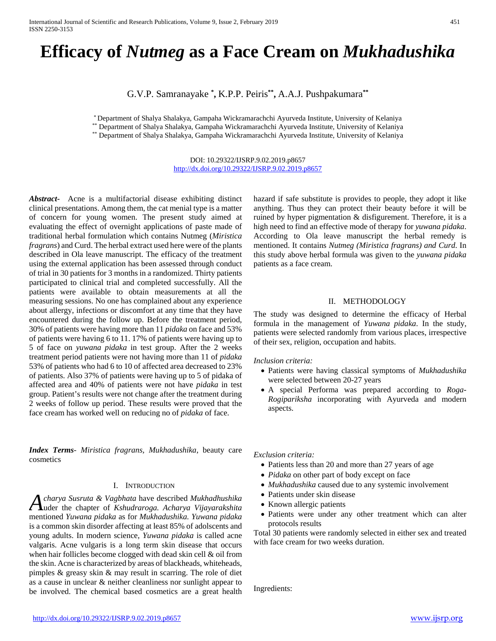# **Efficacy of** *Nutmeg* **as a Face Cream on** *Mukhadushika*

G.V.P. Samranayake **\* ,** K.P.P. Peiris**\*\*,** A.A.J. Pushpakumara**\*\***

\* Department of Shalya Shalakya, Gampaha Wickramarachchi Ayurveda Institute, University of Kelaniya

\*\* Department of Shalya Shalakya, Gampaha Wickramarachchi Ayurveda Institute, University of Kelaniya

\*\* Department of Shalya Shalakya, Gampaha Wickramarachchi Ayurveda Institute, University of Kelaniya

DOI: 10.29322/IJSRP.9.02.2019.p8657 <http://dx.doi.org/10.29322/IJSRP.9.02.2019.p8657>

*Abstract***-** Acne is a multifactorial disease exhibiting distinct clinical presentations. Among them, the cat menial type is a matter of concern for young women. The present study aimed at evaluating the effect of overnight applications of paste made of traditional herbal formulation which contains Nutmeg (*Miristica fragrans*) and Curd. The herbal extract used here were of the plants described in Ola leave manuscript. The efficacy of the treatment using the external application has been assessed through conduct of trial in 30 patients for 3 months in a randomized. Thirty patients participated to clinical trial and completed successfully. All the patients were available to obtain measurements at all the measuring sessions. No one has complained about any experience about allergy, infections or discomfort at any time that they have encountered during the follow up. Before the treatment period, 30% of patients were having more than 11 *pidaka* on face and 53% of patients were having 6 to 11. 17% of patients were having up to 5 of face on *yuwana pidaka* in test group. After the 2 weeks treatment period patients were not having more than 11 of *pidaka* 53% of patients who had 6 to 10 of affected area decreased to 23% of patients. Also 37% of patients were having up to 5 of pidaka of affected area and 40% of patients were not have *pidaka* in test group. Patient's results were not change after the treatment during 2 weeks of follow up period. These results were proved that the face cream has worked well on reducing no of *pidaka* of face.

*Index Terms*- *Miristica fragrans, Mukhadushika*, beauty care cosmetics

#### I. INTRODUCTION

*charya Susruta & Vagbhata* have described *Mukhadhushika A* charya Susruta & Vagbhata have described Mukhadhushika<br> *A* uder the chapter of *Kshudraroga. Acharya Vijayarakshita* mentioned *Yuwana pidaka* as for *Mukhadushika. Yuwana pidaka* is a common skin disorder affecting at least 85% of adolscents and young adults. In modern science, *Yuwana pidaka* is called acne valgaris. Acne vulgaris is a long term skin disease that occurs when hair follicles become clogged with dead skin cell & oil from the skin. Acne is characterized by areas of blackheads, whiteheads, pimples & greasy skin & may result in scarring. The role of diet as a cause in unclear & neither cleanliness nor sunlight appear to be involved. The chemical based cosmetics are a great health hazard if safe substitute is provides to people, they adopt it like anything. Thus they can protect their beauty before it will be ruined by hyper pigmentation & disfigurement. Therefore, it is a high need to find an effective mode of therapy for *yuwana pidaka*. According to Ola leave manuscript the herbal remedy is mentioned. It contains *Nutmeg (Miristica fragrans) and Curd*. In this study above herbal formula was given to the *yuwana pidaka* patients as a face cream.

#### II. METHODOLOGY

The study was designed to determine the efficacy of Herbal formula in the management of *Yuwana pidaka*. In the study, patients were selected randomly from various places, irrespective of their sex, religion, occupation and habits.

*Inclusion criteria:*

- Patients were having classical symptoms of *Mukhadushika* were selected between 20-27 years
- A special Performa was prepared according to *Roga-Rogipariksha* incorporating with Ayurveda and modern aspects.

*Exclusion criteria:*

- Patients less than 20 and more than 27 years of age
- *Pidaka* on other part of body except on face
- *Mukhadushika* caused due to any systemic involvement
- Patients under skin disease
- Known allergic patients
- Patients were under any other treatment which can alter protocols results

Total 30 patients were randomly selected in either sex and treated with face cream for two weeks duration.

Ingredients: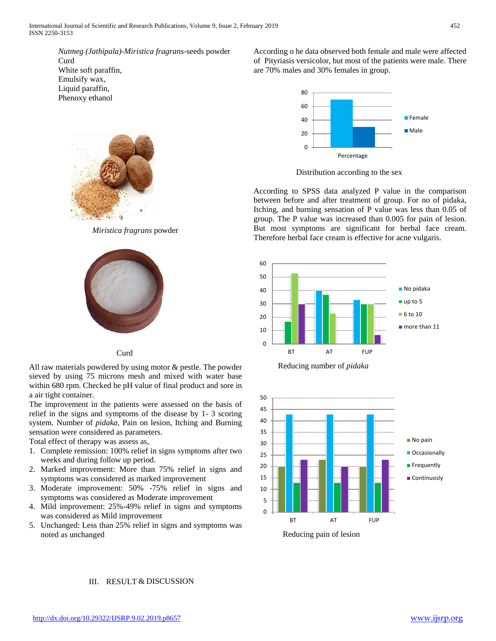*Nutmeg (Jathipala)*-*Miristica fragrans*-seeds powder Curd White soft paraffin, Emulsify wax, Liquid paraffin, Phenoxy ethanol



*Miristica fragrans* powder



## Curd

All raw materials powdered by using motor & pestle. The powder sieved by using 75 microns mesh and mixed with water base within 680 rpm. Checked he pH value of final product and sore in a air tight container.

The improvement in the patients were assessed on the basis of relief in the signs and symptoms of the disease by 1- 3 scoring system. Number of *pidaka*, Pain on lesion, Itching and Burning sensation were considered as parameters.

Total effect of therapy was assess as,

- 1. Complete remission: 100% relief in signs symptoms after two weeks and during follow up period.
- 2. Marked improvement: More than 75% relief in signs and symptoms was considered as marked improvement
- 3. Moderate improvement: 50% -75% relief in signs and symptoms was considered as Moderate improvement
- 4. Mild improvement: 25%-49% relief in signs and symptoms was considered as Mild improvement
- 5. Unchanged: Less than 25% relief in signs and symptoms was noted as unchanged

According o he data observed both female and male were affected of Pityriasis versicolor, but most of the patients were male. There are 70% males and 30% females in group.



Distribution according to the sex

According to SPSS data analyzed P value in the comparison between before and after treatment of group. For no of pidaka, Itching, and burning sensation of P value was less than 0.05 of group. The P value was increased than 0.005 for pain of lesion. But most symptoms are significant for herbal face cream. Therefore herbal face cream is effective for acne vulgaris.







### III. RESULT & DISCUSSION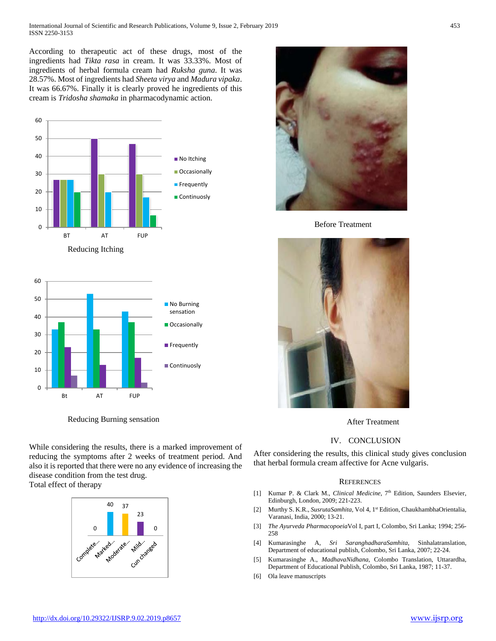According to therapeutic act of these drugs, most of the ingredients had *Tikta rasa* in cream. It was 33.33%. Most of ingredients of herbal formula cream had *Ruksha guna*. It was 28.57%. Most of ingredients had *Sheeta virya* and *Madura vipaka*. It was 66.67%. Finally it is clearly proved he ingredients of this cream is *Tridosha shamaka* in pharmacodynamic action.





Reducing Burning sensation

While considering the results, there is a marked improvement of reducing the symptoms after 2 weeks of treatment period. And also it is reported that there were no any evidence of increasing the disease condition from the test drug.

Total effect of therapy





Before Treatment



After Treatment

### IV. CONCLUSION

After considering the results, this clinical study gives conclusion that herbal formula cream affective for Acne vulgaris.

#### **REFERENCES**

- [1] Kumar P. & Clark M., *Clinical Medicine*, 7<sup>th</sup> Edition, Saunders Elsevier, Edinburgh, London, 2009; 221-223.
- [2] Murthy S. K.R., *SusrutaSamhita*, Vol 4, 1<sup>st</sup> Edition, ChaukhambhaOrientalia, Varanasi, India, 2000; 13-21.
- [3] *The Ayurveda Pharmacopoeia*Vol I, part I, Colombo, Sri Lanka; 1994; 256- 258
- [4] Kumarasinghe A, *Sri SaranghadharaSamhita*, Sinhalatranslation, Department of educational publish, Colombo, Sri Lanka, 2007; 22-24.
- [5] Kumarasinghe A., *MadhavaNidhana*, Colombo Translation, Uttarardha, Department of Educational Publish, Colombo, Sri Lanka, 1987; 11-37.
- [6] Ola leave manuscripts